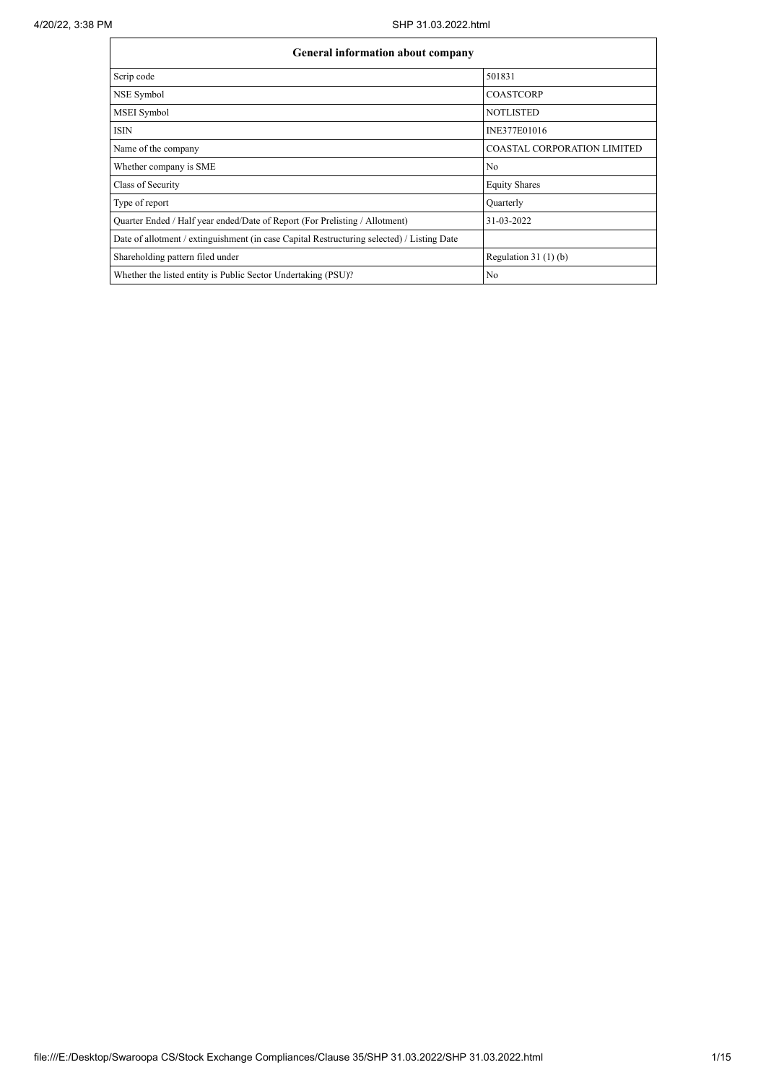| <b>General information about company</b>                                                   |                                    |  |  |  |  |  |  |  |
|--------------------------------------------------------------------------------------------|------------------------------------|--|--|--|--|--|--|--|
| Scrip code                                                                                 | 501831                             |  |  |  |  |  |  |  |
| NSE Symbol                                                                                 | <b>COASTCORP</b>                   |  |  |  |  |  |  |  |
| MSEI Symbol                                                                                | <b>NOTLISTED</b>                   |  |  |  |  |  |  |  |
| <b>ISIN</b>                                                                                | INE377E01016                       |  |  |  |  |  |  |  |
| Name of the company                                                                        | <b>COASTAL CORPORATION LIMITED</b> |  |  |  |  |  |  |  |
| Whether company is SME                                                                     | No                                 |  |  |  |  |  |  |  |
| Class of Security                                                                          | <b>Equity Shares</b>               |  |  |  |  |  |  |  |
| Type of report                                                                             | Quarterly                          |  |  |  |  |  |  |  |
| Quarter Ended / Half year ended/Date of Report (For Prelisting / Allotment)                | 31-03-2022                         |  |  |  |  |  |  |  |
| Date of allotment / extinguishment (in case Capital Restructuring selected) / Listing Date |                                    |  |  |  |  |  |  |  |
| Shareholding pattern filed under                                                           | Regulation $31(1)(b)$              |  |  |  |  |  |  |  |
| Whether the listed entity is Public Sector Undertaking (PSU)?                              | No                                 |  |  |  |  |  |  |  |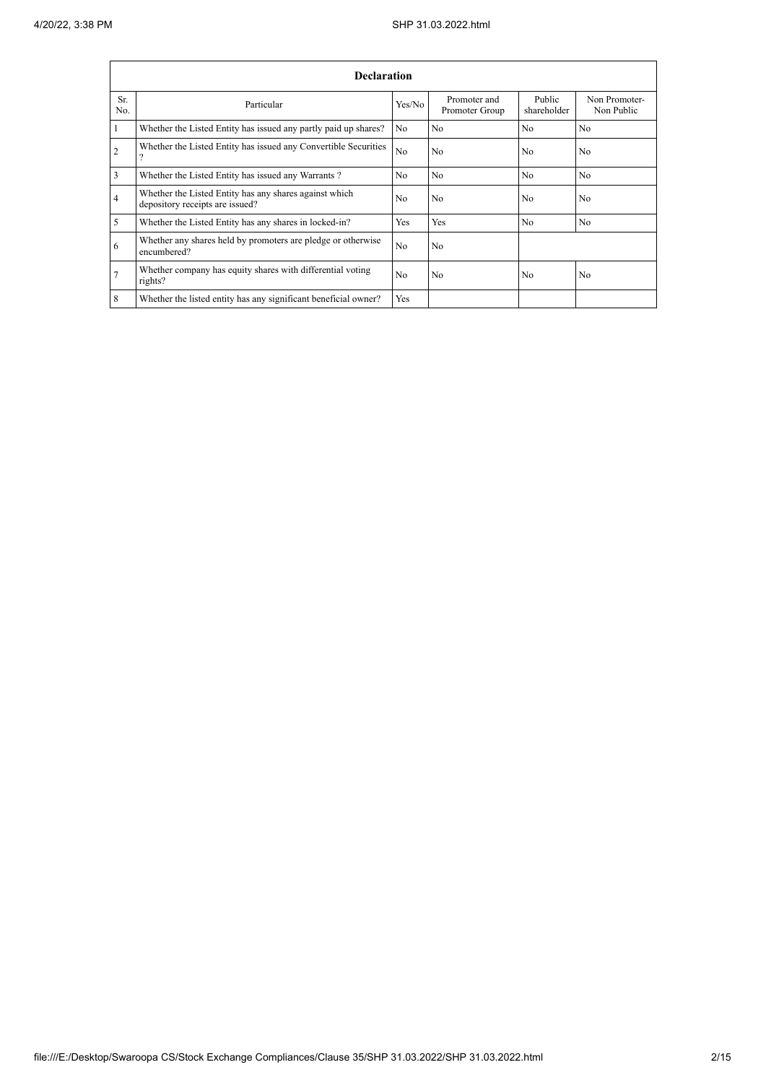|                                                                       | <b>Declaration</b>                                                                        |                |                                |                       |                             |  |  |  |  |  |  |
|-----------------------------------------------------------------------|-------------------------------------------------------------------------------------------|----------------|--------------------------------|-----------------------|-----------------------------|--|--|--|--|--|--|
| Sr.<br>No.                                                            | Particular                                                                                |                | Promoter and<br>Promoter Group | Public<br>shareholder | Non Promoter-<br>Non Public |  |  |  |  |  |  |
|                                                                       | Whether the Listed Entity has issued any partly paid up shares?                           | No.            | No                             | No                    | N <sub>o</sub>              |  |  |  |  |  |  |
| 2                                                                     | Whether the Listed Entity has issued any Convertible Securities                           | N <sub>0</sub> | N <sub>0</sub>                 | N <sub>0</sub>        | N <sub>0</sub>              |  |  |  |  |  |  |
| 3                                                                     | Whether the Listed Entity has issued any Warrants?                                        | N <sub>o</sub> | No                             | No                    | N <sub>o</sub>              |  |  |  |  |  |  |
| 4                                                                     | Whether the Listed Entity has any shares against which<br>depository receipts are issued? | N <sub>0</sub> | N <sub>0</sub>                 | N <sub>0</sub>        | N <sub>0</sub>              |  |  |  |  |  |  |
| 5                                                                     | Whether the Listed Entity has any shares in locked-in?                                    | Yes            | <b>Yes</b>                     | N <sub>0</sub>        | N <sub>0</sub>              |  |  |  |  |  |  |
| 6                                                                     | Whether any shares held by promoters are pledge or otherwise<br>encumbered?               | N <sub>0</sub> | N <sub>0</sub>                 |                       |                             |  |  |  |  |  |  |
| Whether company has equity shares with differential voting<br>rights? |                                                                                           |                | N <sub>0</sub>                 | No                    | N <sub>0</sub>              |  |  |  |  |  |  |
| 8                                                                     | Whether the listed entity has any significant beneficial owner?                           | Yes            |                                |                       |                             |  |  |  |  |  |  |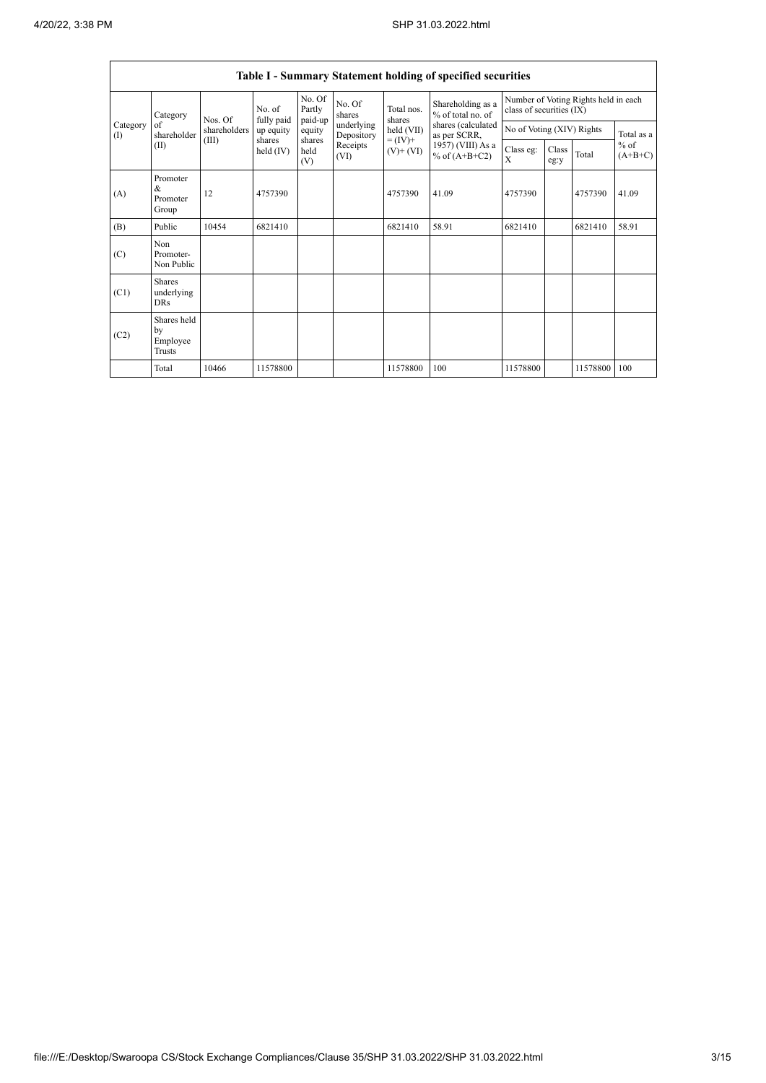$\overline{\phantom{0}}$ 

|                          | Table I - Summary Statement holding of specified securities |                   |                       |                             |                          |                             |                                        |                                                                  |               |          |                     |  |
|--------------------------|-------------------------------------------------------------|-------------------|-----------------------|-----------------------------|--------------------------|-----------------------------|----------------------------------------|------------------------------------------------------------------|---------------|----------|---------------------|--|
|                          | Category<br>of<br>shareholder<br>(II)                       | No. of<br>Nos. Of | fully paid            | No. Of<br>Partly<br>paid-up | No. Of<br>shares         | Total nos.<br>shares        | Shareholding as a<br>% of total no. of | Number of Voting Rights held in each<br>class of securities (IX) |               |          |                     |  |
| Category<br>$($ $\Gamma$ |                                                             | shareholders      | up equity             | equity                      | underlying<br>Depository | held (VII)                  | shares (calculated<br>as per SCRR,     | No of Voting (XIV) Rights                                        |               |          | Total as a          |  |
|                          |                                                             | (III)             | shares<br>held $(IV)$ | shares<br>held<br>(V)       | Receipts<br>(VI)         | $= (IV) +$<br>$(V)$ + $(V)$ | 1957) (VIII) As a<br>% of $(A+B+C2)$   | Class eg:<br>X                                                   | Class<br>eg:y | Total    | $%$ of<br>$(A+B+C)$ |  |
| (A)                      | Promoter<br>&<br>Promoter<br>Group                          | 12                | 4757390               |                             |                          | 4757390                     | 41.09                                  | 4757390                                                          |               | 4757390  | 41.09               |  |
| (B)                      | Public                                                      | 10454             | 6821410               |                             |                          | 6821410                     | 58.91                                  | 6821410                                                          |               | 6821410  | 58.91               |  |
| (C)                      | Non<br>Promoter-<br>Non Public                              |                   |                       |                             |                          |                             |                                        |                                                                  |               |          |                     |  |
| (C1)                     | <b>Shares</b><br>underlying<br><b>DRs</b>                   |                   |                       |                             |                          |                             |                                        |                                                                  |               |          |                     |  |
| (C2)                     | Shares held<br>by<br>Employee<br>Trusts                     |                   |                       |                             |                          |                             |                                        |                                                                  |               |          |                     |  |
|                          | Total                                                       | 10466             | 11578800              |                             |                          | 11578800                    | 100                                    | 11578800                                                         |               | 11578800 | 100                 |  |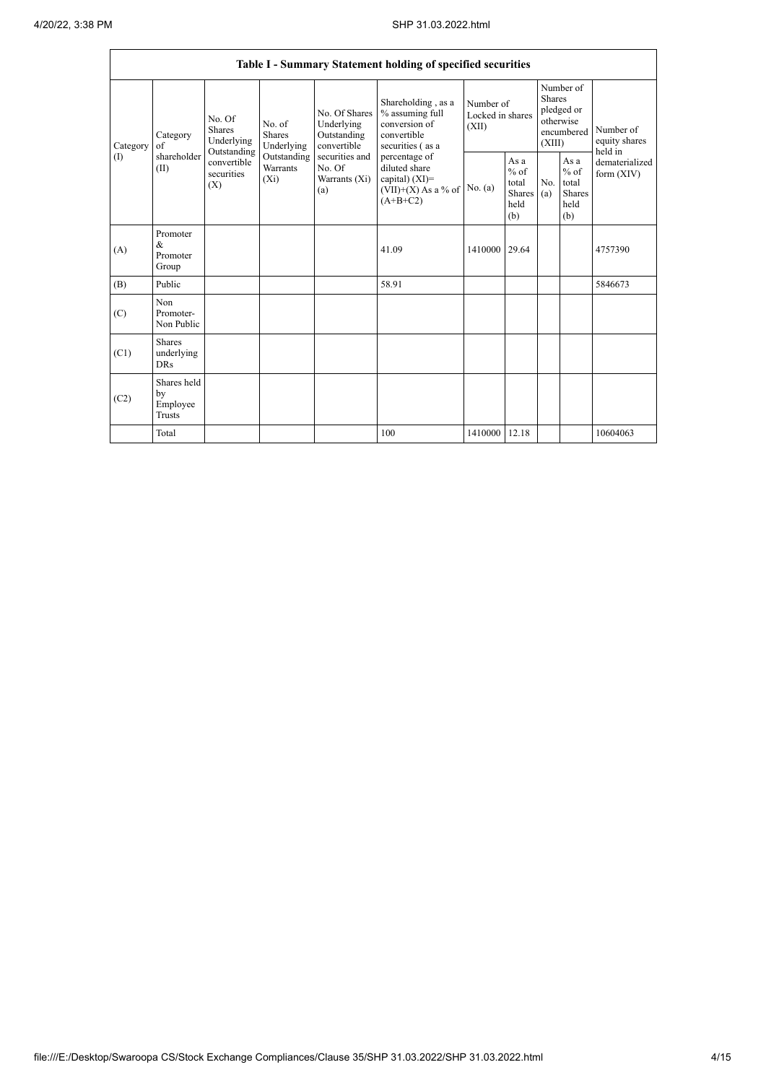|                 | Table I - Summary Statement holding of specified securities |                                       |                                                                                     |                                                                                                               |                                                                                                                                                                                         |                                        |                                                         |                                                                               |                                                  |                                       |  |
|-----------------|-------------------------------------------------------------|---------------------------------------|-------------------------------------------------------------------------------------|---------------------------------------------------------------------------------------------------------------|-----------------------------------------------------------------------------------------------------------------------------------------------------------------------------------------|----------------------------------------|---------------------------------------------------------|-------------------------------------------------------------------------------|--------------------------------------------------|---------------------------------------|--|
| Category<br>(I) | Category<br>$\sigma$ f<br>shareholder<br>(II)<br>(X)        | No. Of<br><b>Shares</b><br>Underlying | No. of<br>Shares<br>Underlying<br>Outstanding<br>Outstanding<br>Warrants<br>$(X_i)$ | No. Of Shares<br>Underlying<br>Outstanding<br>convertible<br>securities and<br>No. Of<br>Warrants (Xi)<br>(a) | Shareholding, as a<br>% assuming full<br>conversion of<br>convertible<br>securities (as a<br>percentage of<br>diluted share<br>capital) $(XI)$ =<br>$(VII)+(X)$ As a % of<br>$(A+B+C2)$ | Number of<br>Locked in shares<br>(XII) |                                                         | Number of<br><b>Shares</b><br>pledged or<br>otherwise<br>encumbered<br>(XIII) |                                                  | Number of<br>equity shares<br>held in |  |
|                 |                                                             | convertible<br>securities             |                                                                                     |                                                                                                               |                                                                                                                                                                                         | No. (a)                                | As a<br>$%$ of<br>total<br><b>Shares</b><br>held<br>(b) | No.<br>(a)                                                                    | As a<br>$%$ of<br>total<br>Shares<br>held<br>(b) | dematerialized<br>form $(XIV)$        |  |
| (A)             | Promoter<br>&<br>Promoter<br>Group                          |                                       |                                                                                     |                                                                                                               | 41.09                                                                                                                                                                                   | 1410000 29.64                          |                                                         |                                                                               |                                                  | 4757390                               |  |
| (B)             | Public                                                      |                                       |                                                                                     |                                                                                                               | 58.91                                                                                                                                                                                   |                                        |                                                         |                                                                               |                                                  | 5846673                               |  |
| (C)             | Non<br>Promoter-<br>Non Public                              |                                       |                                                                                     |                                                                                                               |                                                                                                                                                                                         |                                        |                                                         |                                                                               |                                                  |                                       |  |
| (C1)            | <b>Shares</b><br>underlying<br><b>DRs</b>                   |                                       |                                                                                     |                                                                                                               |                                                                                                                                                                                         |                                        |                                                         |                                                                               |                                                  |                                       |  |
| (C2)            | Shares held<br>by<br>Employee<br>Trusts                     |                                       |                                                                                     |                                                                                                               |                                                                                                                                                                                         |                                        |                                                         |                                                                               |                                                  |                                       |  |
|                 | Total                                                       |                                       |                                                                                     |                                                                                                               | 100                                                                                                                                                                                     | 1410000 12.18                          |                                                         |                                                                               |                                                  | 10604063                              |  |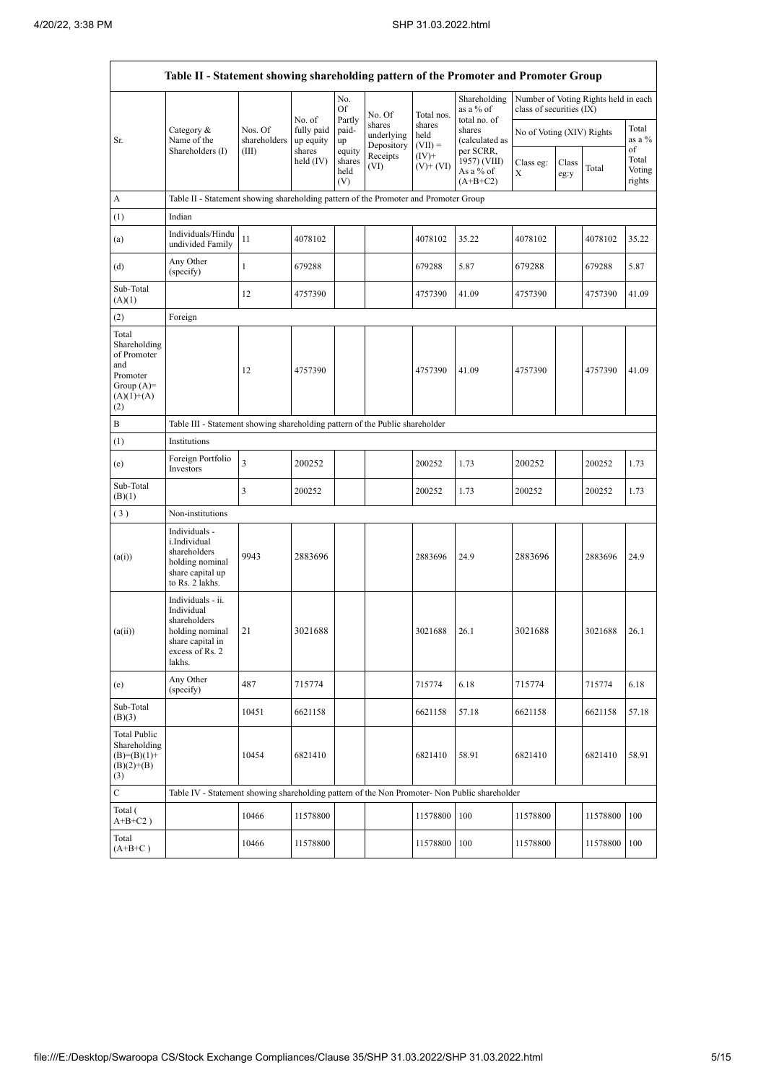r

|                                                                                                | Table II - Statement showing shareholding pattern of the Promoter and Promoter Group                                |                                                                              |                                   |                       |                                    |                             |                                           |                           |               |                                      |                           |  |
|------------------------------------------------------------------------------------------------|---------------------------------------------------------------------------------------------------------------------|------------------------------------------------------------------------------|-----------------------------------|-----------------------|------------------------------------|-----------------------------|-------------------------------------------|---------------------------|---------------|--------------------------------------|---------------------------|--|
|                                                                                                |                                                                                                                     |                                                                              | No. of                            | No.<br>Of<br>Partly   | No. Of                             | Total nos.                  | Shareholding<br>as a % of<br>total no. of | class of securities (IX)  |               | Number of Voting Rights held in each |                           |  |
| Sr.                                                                                            | Category &<br>Name of the<br>Shareholders (I)                                                                       | Nos. Of<br>shareholders                                                      | fully paid<br>up equity<br>shares | paid-<br>up<br>equity | shares<br>underlying<br>Depository | shares<br>held<br>$(VII) =$ | shares<br>(calculated as<br>per SCRR,     | No of Voting (XIV) Rights |               |                                      | Total<br>as a %<br>of     |  |
|                                                                                                |                                                                                                                     | (III)                                                                        | held (IV)                         | shares<br>held<br>(V) | Receipts<br>(VI)                   | $(IV)^+$<br>$(V)$ + $(VI)$  | 1957) (VIII)<br>As a % of<br>$(A+B+C2)$   | Class eg:<br>X            | Class<br>eg:y | Total                                | Total<br>Voting<br>rights |  |
| А                                                                                              | Table II - Statement showing shareholding pattern of the Promoter and Promoter Group                                |                                                                              |                                   |                       |                                    |                             |                                           |                           |               |                                      |                           |  |
| (1)                                                                                            | Indian                                                                                                              |                                                                              |                                   |                       |                                    |                             |                                           |                           |               |                                      |                           |  |
| (a)                                                                                            | Individuals/Hindu<br>undivided Family                                                                               | 11                                                                           | 4078102                           |                       |                                    | 4078102                     | 35.22                                     | 4078102                   |               | 4078102                              | 35.22                     |  |
| (d)                                                                                            | Any Other<br>(specify)                                                                                              | $\mathbf{1}$                                                                 | 679288                            |                       |                                    | 679288                      | 5.87                                      | 679288                    |               | 679288                               | 5.87                      |  |
| Sub-Total<br>(A)(1)                                                                            |                                                                                                                     | 12                                                                           | 4757390                           |                       |                                    | 4757390                     | 41.09                                     | 4757390                   |               | 4757390                              | 41.09                     |  |
| (2)                                                                                            | Foreign                                                                                                             |                                                                              |                                   |                       |                                    |                             |                                           |                           |               |                                      |                           |  |
| Total<br>Shareholding<br>of Promoter<br>and<br>Promoter<br>Group $(A)=$<br>$(A)(1)+(A)$<br>(2) |                                                                                                                     | 12                                                                           | 4757390                           |                       |                                    | 4757390                     | 41.09                                     | 4757390                   |               | 4757390                              | 41.09                     |  |
| B                                                                                              |                                                                                                                     | Table III - Statement showing shareholding pattern of the Public shareholder |                                   |                       |                                    |                             |                                           |                           |               |                                      |                           |  |
| (1)                                                                                            | Institutions                                                                                                        |                                                                              |                                   |                       |                                    |                             |                                           |                           |               |                                      |                           |  |
| (e)                                                                                            | Foreign Portfolio<br>Investors                                                                                      | 3                                                                            | 200252                            |                       |                                    | 200252                      | 1.73                                      | 200252                    |               | 200252                               | 1.73                      |  |
| Sub-Total<br>(B)(1)                                                                            |                                                                                                                     | 3                                                                            | 200252                            |                       |                                    | 200252                      | 1.73                                      | 200252                    |               | 200252                               | 1.73                      |  |
| (3)                                                                                            | Non-institutions                                                                                                    |                                                                              |                                   |                       |                                    |                             |                                           |                           |               |                                      |                           |  |
| (a(i))                                                                                         | Individuals -<br>i.Individual<br>shareholders<br>holding nominal<br>share capital up<br>to Rs. 2 lakhs.             | 9943                                                                         | 2883696                           |                       |                                    | 2883696                     | 24.9                                      | 2883696                   |               | 2883696                              | 24.9                      |  |
| (a(ii))                                                                                        | Individuals - ii.<br>Individual<br>shareholders<br>holding nominal<br>share capital in<br>excess of Rs. 2<br>lakhs. | 21                                                                           | 3021688                           |                       |                                    | 3021688                     | 26.1                                      | 3021688                   |               | 3021688                              | 26.1                      |  |
| (e)                                                                                            | Any Other<br>(specify)                                                                                              | 487                                                                          | 715774                            |                       |                                    | 715774                      | 6.18                                      | 715774                    |               | 715774                               | 6.18                      |  |
| Sub-Total<br>(B)(3)                                                                            |                                                                                                                     | 10451                                                                        | 6621158                           |                       |                                    | 6621158                     | 57.18                                     | 6621158                   |               | 6621158                              | 57.18                     |  |
| <b>Total Public</b><br>Shareholding<br>$(B)=(B)(1)+$<br>$(B)(2)+(B)$<br>(3)                    |                                                                                                                     | 10454                                                                        | 6821410                           |                       |                                    | 6821410                     | 58.91                                     | 6821410                   |               | 6821410                              | 58.91                     |  |
| $\mathbf C$                                                                                    | Table IV - Statement showing shareholding pattern of the Non Promoter- Non Public shareholder                       |                                                                              |                                   |                       |                                    |                             |                                           |                           |               |                                      |                           |  |
| Total (<br>$A+B+C2$ )                                                                          |                                                                                                                     | 10466                                                                        | 11578800                          |                       |                                    | 11578800                    | 100                                       | 11578800                  |               | 11578800                             | 100                       |  |
| Total<br>$(A+B+C)$                                                                             |                                                                                                                     | 10466                                                                        | 11578800                          |                       |                                    | 11578800                    | 100                                       | 11578800                  |               | 11578800                             | 100                       |  |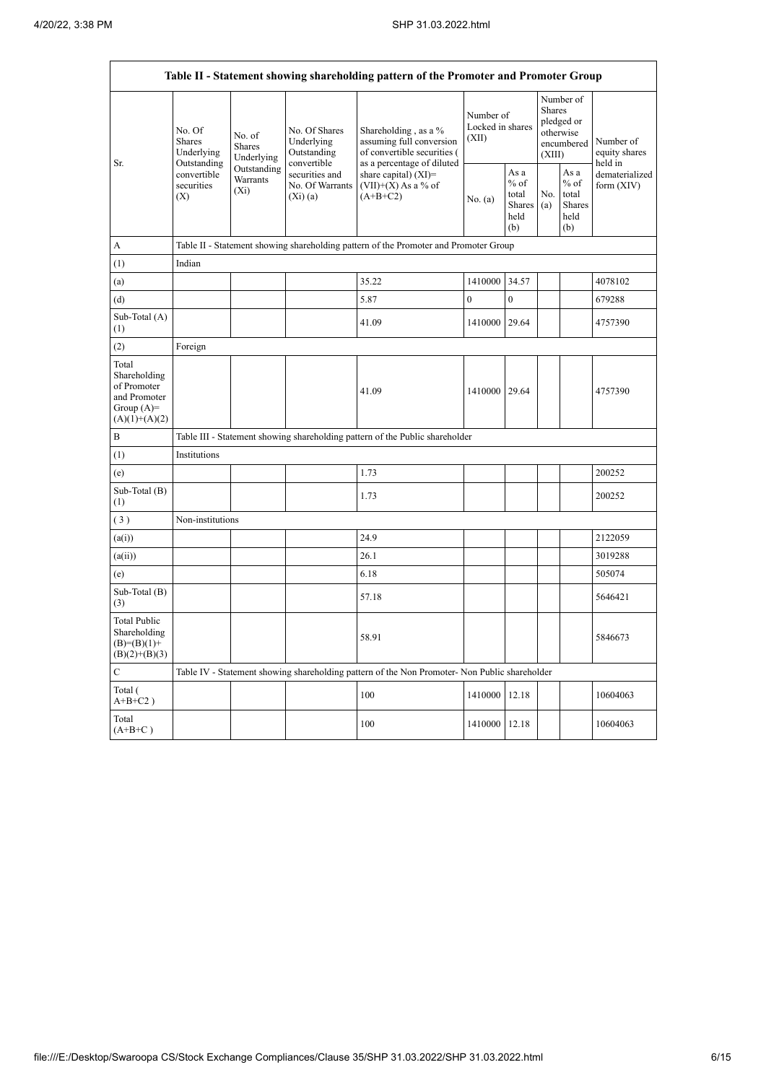r

|                                                                                         | Table II - Statement showing shareholding pattern of the Promoter and Promoter Group |                                                                                      |                                                           |                                                                                                               |                                        |                                                  |                         |                                                    |                                       |  |  |  |
|-----------------------------------------------------------------------------------------|--------------------------------------------------------------------------------------|--------------------------------------------------------------------------------------|-----------------------------------------------------------|---------------------------------------------------------------------------------------------------------------|----------------------------------------|--------------------------------------------------|-------------------------|----------------------------------------------------|---------------------------------------|--|--|--|
| Sr.                                                                                     | No. Of<br><b>Shares</b><br>Underlying<br>Outstanding                                 | No. of<br>Shares<br>Underlying                                                       | No. Of Shares<br>Underlying<br>Outstanding<br>convertible | Shareholding, as a %<br>assuming full conversion<br>of convertible securities (<br>as a percentage of diluted | Number of<br>Locked in shares<br>(XII) |                                                  | <b>Shares</b><br>(XIII) | Number of<br>pledged or<br>otherwise<br>encumbered | Number of<br>equity shares<br>held in |  |  |  |
|                                                                                         | convertible<br>securities<br>(X)                                                     | Outstanding<br>Warrants<br>$(X_i)$                                                   | securities and<br>No. Of Warrants<br>$(X_i)(a)$           | share capital) (XI)=<br>$(VII)+(X)$ As a % of<br>$(A+B+C2)$                                                   | No. (a)                                | As a<br>$%$ of<br>total<br>Shares<br>held<br>(b) | No.<br>(a)              | As a<br>$%$ of<br>total<br>Shares<br>held<br>(b)   | dematerialized<br>form $(XIV)$        |  |  |  |
| А                                                                                       |                                                                                      | Table II - Statement showing shareholding pattern of the Promoter and Promoter Group |                                                           |                                                                                                               |                                        |                                                  |                         |                                                    |                                       |  |  |  |
| (1)                                                                                     | Indian                                                                               |                                                                                      |                                                           |                                                                                                               |                                        |                                                  |                         |                                                    |                                       |  |  |  |
| (a)                                                                                     |                                                                                      |                                                                                      |                                                           | 35.22                                                                                                         | 1410000                                | 34.57                                            |                         |                                                    | 4078102                               |  |  |  |
| (d)                                                                                     |                                                                                      |                                                                                      |                                                           | 5.87                                                                                                          | $\overline{0}$                         | $\theta$                                         |                         |                                                    | 679288                                |  |  |  |
| Sub-Total (A)<br>(1)                                                                    |                                                                                      |                                                                                      |                                                           | 41.09                                                                                                         | 1410000                                | 29.64                                            |                         |                                                    | 4757390                               |  |  |  |
| (2)                                                                                     | Foreign                                                                              |                                                                                      |                                                           |                                                                                                               |                                        |                                                  |                         |                                                    |                                       |  |  |  |
| Total<br>Shareholding<br>of Promoter<br>and Promoter<br>Group $(A)=$<br>$(A)(1)+(A)(2)$ |                                                                                      |                                                                                      |                                                           | 41.09                                                                                                         | 1410000 29.64                          |                                                  |                         |                                                    | 4757390                               |  |  |  |
| B                                                                                       |                                                                                      |                                                                                      |                                                           | Table III - Statement showing shareholding pattern of the Public shareholder                                  |                                        |                                                  |                         |                                                    |                                       |  |  |  |
| (1)                                                                                     | Institutions                                                                         |                                                                                      |                                                           |                                                                                                               |                                        |                                                  |                         |                                                    |                                       |  |  |  |
| (e)                                                                                     |                                                                                      |                                                                                      |                                                           | 1.73                                                                                                          |                                        |                                                  |                         |                                                    | 200252                                |  |  |  |
| Sub-Total (B)<br>(1)                                                                    |                                                                                      |                                                                                      |                                                           | 1.73                                                                                                          |                                        |                                                  |                         |                                                    | 200252                                |  |  |  |
| (3)                                                                                     | Non-institutions                                                                     |                                                                                      |                                                           |                                                                                                               |                                        |                                                  |                         |                                                    |                                       |  |  |  |
| (a(i))                                                                                  |                                                                                      |                                                                                      |                                                           | 24.9                                                                                                          |                                        |                                                  |                         |                                                    | 2122059                               |  |  |  |
| (a(ii))                                                                                 |                                                                                      |                                                                                      |                                                           | 26.1                                                                                                          |                                        |                                                  |                         |                                                    | 3019288                               |  |  |  |
| (e)                                                                                     |                                                                                      |                                                                                      |                                                           | 6.18                                                                                                          |                                        |                                                  |                         |                                                    | 505074                                |  |  |  |
| Sub-Total (B)<br>(3)                                                                    |                                                                                      |                                                                                      |                                                           | 57.18                                                                                                         |                                        |                                                  |                         |                                                    | 5646421                               |  |  |  |
| <b>Total Public</b><br>Shareholding<br>$(B)=(B)(1)+$<br>$(B)(2)+(B)(3)$                 |                                                                                      |                                                                                      |                                                           | 58.91                                                                                                         |                                        |                                                  |                         |                                                    | 5846673                               |  |  |  |
| $\mathsf{C}$                                                                            |                                                                                      |                                                                                      |                                                           | Table IV - Statement showing shareholding pattern of the Non Promoter- Non Public shareholder                 |                                        |                                                  |                         |                                                    |                                       |  |  |  |
| Total (<br>$A+B+C2$ )                                                                   |                                                                                      |                                                                                      |                                                           | 100                                                                                                           | 1410000                                | 12.18                                            |                         |                                                    | 10604063                              |  |  |  |
| Total<br>$(A+B+C)$                                                                      |                                                                                      |                                                                                      |                                                           | 100                                                                                                           | 1410000                                | 12.18                                            |                         |                                                    | 10604063                              |  |  |  |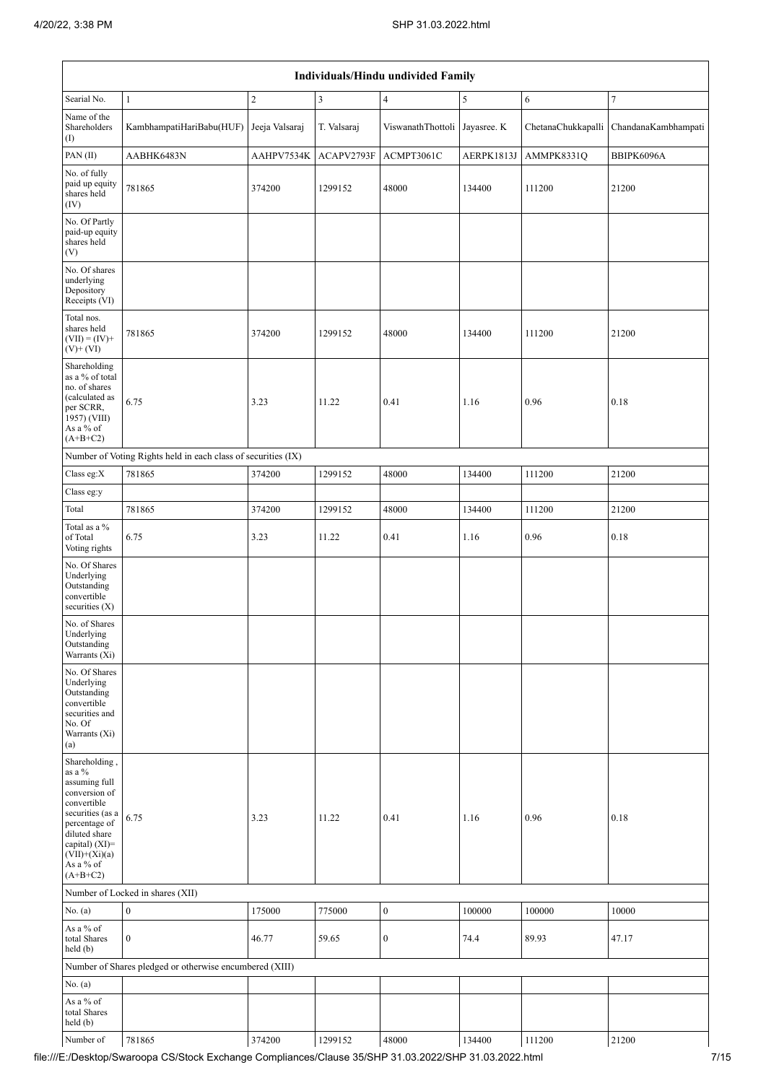|                                                                                                                                                                                                      | Individuals/Hindu undivided Family                            |                |                |                               |            |                    |                     |  |  |  |  |  |
|------------------------------------------------------------------------------------------------------------------------------------------------------------------------------------------------------|---------------------------------------------------------------|----------------|----------------|-------------------------------|------------|--------------------|---------------------|--|--|--|--|--|
| Searial No.                                                                                                                                                                                          | $\mathbf{1}$                                                  | $\sqrt{2}$     | $\mathfrak{Z}$ | $\overline{4}$                | $\sqrt{5}$ | 6                  | 7                   |  |  |  |  |  |
| Name of the<br>Shareholders<br>(1)                                                                                                                                                                   | KambhampatiHariBabu(HUF)                                      | Jeeja Valsaraj | T. Valsaraj    | ViswanathThottoli Jayasree. K |            | ChetanaChukkapalli | ChandanaKambhampati |  |  |  |  |  |
| PAN(II)                                                                                                                                                                                              | AABHK6483N                                                    | AAHPV7534K     | ACAPV2793F     | ACMPT3061C                    | AERPK1813J | AMMPK8331Q         | BBIPK6096A          |  |  |  |  |  |
| No. of fully<br>paid up equity<br>shares held<br>(IV)                                                                                                                                                | 781865                                                        | 374200         | 1299152        | 48000                         | 134400     | 111200             | 21200               |  |  |  |  |  |
| No. Of Partly<br>paid-up equity<br>shares held<br>(V)                                                                                                                                                |                                                               |                |                |                               |            |                    |                     |  |  |  |  |  |
| No. Of shares<br>underlying<br>Depository<br>Receipts (VI)                                                                                                                                           |                                                               |                |                |                               |            |                    |                     |  |  |  |  |  |
| Total nos.<br>shares held<br>$(VII) = (IV) +$<br>$(V)$ + $(VI)$                                                                                                                                      | 781865                                                        | 374200         | 1299152        | 48000                         | 134400     | 111200             | 21200               |  |  |  |  |  |
| Shareholding<br>as a % of total<br>no. of shares<br>(calculated as<br>per SCRR,<br>1957) (VIII)<br>As a % of<br>$(A+B+C2)$                                                                           | 6.75                                                          | 3.23           | 11.22          | 0.41                          | 1.16       | 0.96               | 0.18                |  |  |  |  |  |
|                                                                                                                                                                                                      | Number of Voting Rights held in each class of securities (IX) |                |                |                               |            |                    |                     |  |  |  |  |  |
| Class eg:X                                                                                                                                                                                           | 781865                                                        | 374200         | 1299152        | 48000                         | 134400     | 111200             | 21200               |  |  |  |  |  |
| Class eg:y                                                                                                                                                                                           |                                                               |                |                |                               |            |                    |                     |  |  |  |  |  |
| Total                                                                                                                                                                                                | 781865                                                        | 374200         | 1299152        | 48000                         | 134400     | 111200             | 21200               |  |  |  |  |  |
| Total as a %<br>of Total<br>Voting rights                                                                                                                                                            | 6.75                                                          | 3.23           | 11.22          | 0.41                          | 1.16       | 0.96               | 0.18                |  |  |  |  |  |
| No. Of Shares<br>Underlying<br>Outstanding<br>convertible<br>securities $(X)$                                                                                                                        |                                                               |                |                |                               |            |                    |                     |  |  |  |  |  |
| No. of Shares<br>Underlying<br>Outstanding<br>Warrants (Xi)                                                                                                                                          |                                                               |                |                |                               |            |                    |                     |  |  |  |  |  |
| No. Of Shares<br>Underlying<br>Outstanding<br>convertible<br>securities and<br>No. Of<br>Warrants (Xi)<br>(a)                                                                                        |                                                               |                |                |                               |            |                    |                     |  |  |  |  |  |
| Shareholding,<br>as a $\%$<br>assuming full<br>conversion of<br>convertible<br>securities (as a<br>percentage of<br>diluted share<br>capital) $(XI)$ =<br>$(VII)+(Xi)(a)$<br>As a % of<br>$(A+B+C2)$ | 6.75                                                          | 3.23           | 11.22          | 0.41                          | 1.16       | 0.96               | 0.18                |  |  |  |  |  |
|                                                                                                                                                                                                      | Number of Locked in shares (XII)                              |                |                |                               |            |                    |                     |  |  |  |  |  |
| No. $(a)$                                                                                                                                                                                            | $\boldsymbol{0}$                                              | 175000         | 775000         | $\boldsymbol{0}$              | 100000     | 100000             | 10000               |  |  |  |  |  |
| As a % of<br>total Shares<br>held (b)                                                                                                                                                                | $\mathbf{0}$                                                  | 46.77          | 59.65          | $\boldsymbol{0}$              | 74.4       | 89.93              | 47.17               |  |  |  |  |  |
|                                                                                                                                                                                                      | Number of Shares pledged or otherwise encumbered (XIII)       |                |                |                               |            |                    |                     |  |  |  |  |  |
| No. $(a)$                                                                                                                                                                                            |                                                               |                |                |                               |            |                    |                     |  |  |  |  |  |
| As a % of<br>total Shares<br>held (b)                                                                                                                                                                |                                                               |                |                |                               |            |                    |                     |  |  |  |  |  |
| Number of                                                                                                                                                                                            | 781865                                                        | 374200         | 1299152        | 48000                         | 134400     | 111200             | 21200               |  |  |  |  |  |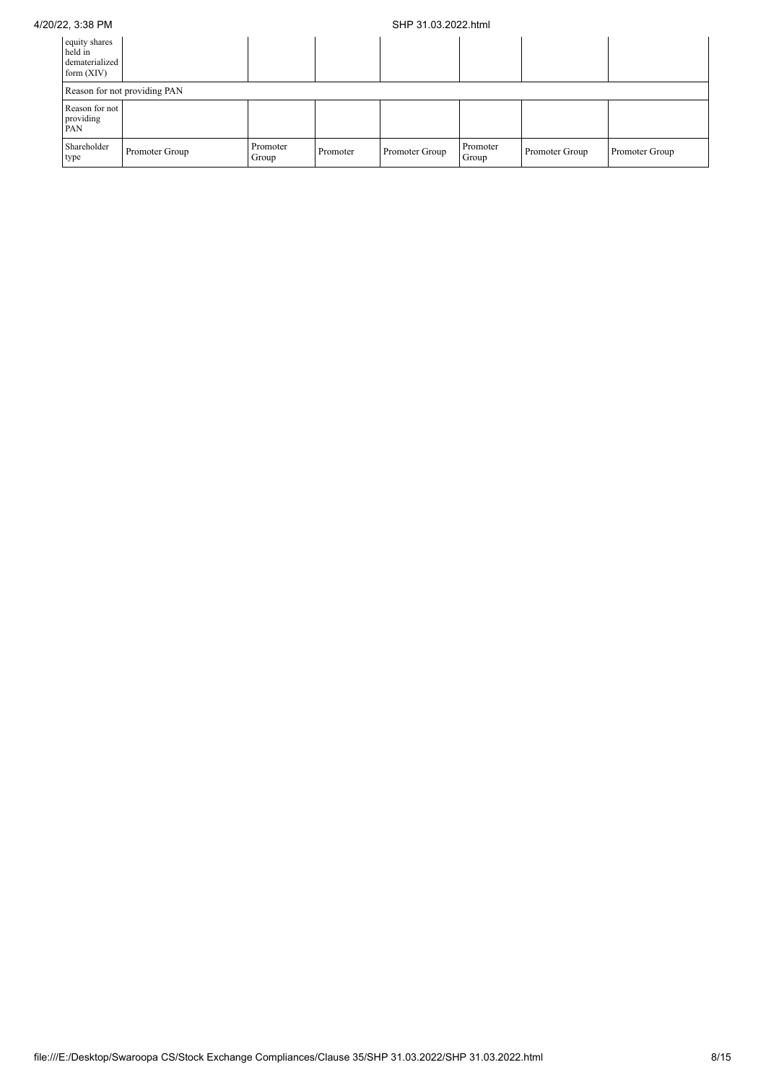## 4/20/22, 3:38 PM SHP 31.03.2022.html

| equity shares<br>held in<br>dematerialized<br>form $(XIV)$ |                              |                   |          |                |                   |                |                |  |  |  |
|------------------------------------------------------------|------------------------------|-------------------|----------|----------------|-------------------|----------------|----------------|--|--|--|
|                                                            | Reason for not providing PAN |                   |          |                |                   |                |                |  |  |  |
| Reason for not<br>providing<br>PAN                         |                              |                   |          |                |                   |                |                |  |  |  |
| Shareholder<br>type                                        | Promoter Group               | Promoter<br>Group | Promoter | Promoter Group | Promoter<br>Group | Promoter Group | Promoter Group |  |  |  |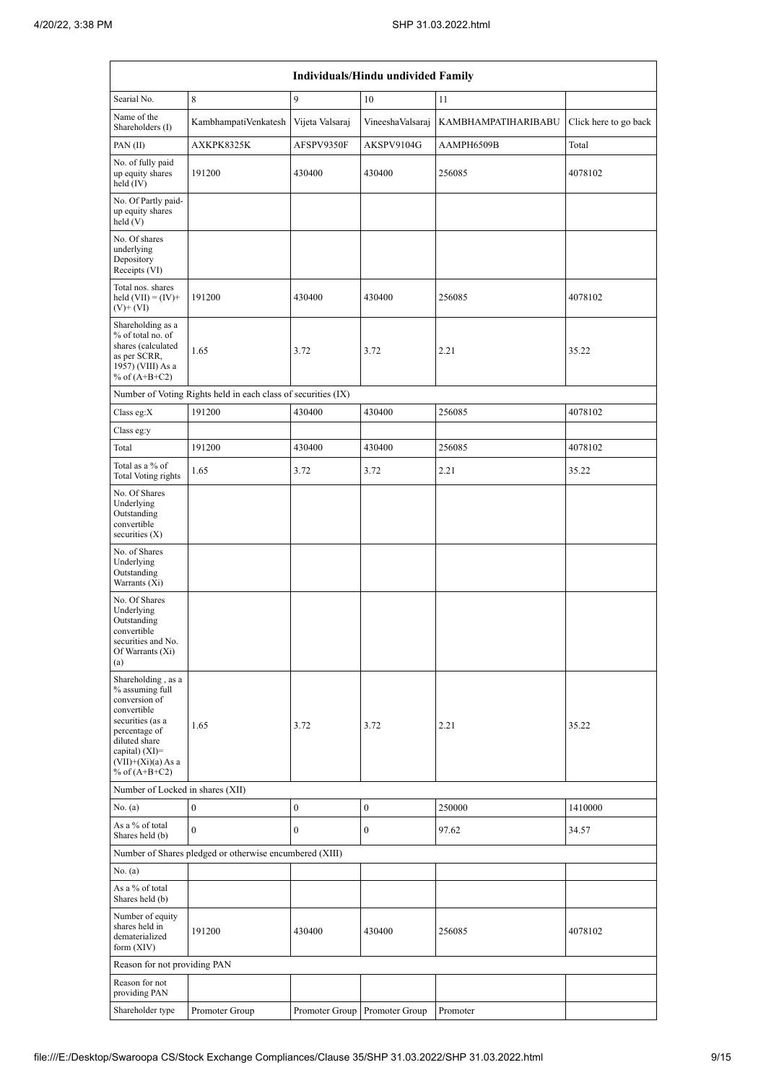|                                                                                                                                                                                            | Individuals/Hindu undivided Family                            |                  |                               |                     |                       |  |  |  |  |  |  |
|--------------------------------------------------------------------------------------------------------------------------------------------------------------------------------------------|---------------------------------------------------------------|------------------|-------------------------------|---------------------|-----------------------|--|--|--|--|--|--|
| Searial No.                                                                                                                                                                                | $\,$ 8 $\,$                                                   | 9                | 10                            | 11                  |                       |  |  |  |  |  |  |
| Name of the<br>Shareholders (I)                                                                                                                                                            | KambhampatiVenkatesh                                          | Vijeta Valsaraj  | VineeshaValsaraj              | KAMBHAMPATIHARIBABU | Click here to go back |  |  |  |  |  |  |
| PAN $(II)$                                                                                                                                                                                 | AXKPK8325K                                                    | AFSPV9350F       | AKSPV9104G                    | AAMPH6509B          | Total                 |  |  |  |  |  |  |
| No. of fully paid<br>up equity shares<br>held $(IV)$                                                                                                                                       | 191200                                                        | 430400           | 430400                        | 256085              | 4078102               |  |  |  |  |  |  |
| No. Of Partly paid-<br>up equity shares<br>held(V)                                                                                                                                         |                                                               |                  |                               |                     |                       |  |  |  |  |  |  |
| No. Of shares<br>underlying<br>Depository<br>Receipts (VI)                                                                                                                                 |                                                               |                  |                               |                     |                       |  |  |  |  |  |  |
| Total nos. shares<br>held $(VII) = (IV) +$<br>$(V)$ + $(VI)$                                                                                                                               | 191200                                                        | 430400           | 430400                        | 256085              | 4078102               |  |  |  |  |  |  |
| Shareholding as a<br>% of total no. of<br>shares (calculated<br>as per SCRR,<br>1957) (VIII) As a<br>% of $(A+B+C2)$                                                                       | 1.65                                                          | 3.72             | 3.72                          | 2.21                | 35.22                 |  |  |  |  |  |  |
|                                                                                                                                                                                            | Number of Voting Rights held in each class of securities (IX) |                  |                               |                     |                       |  |  |  |  |  |  |
| Class eg: $X$                                                                                                                                                                              | 191200                                                        | 430400           | 430400                        | 256085              | 4078102               |  |  |  |  |  |  |
| Class eg:y                                                                                                                                                                                 |                                                               |                  |                               |                     |                       |  |  |  |  |  |  |
| Total                                                                                                                                                                                      | 191200                                                        | 430400           | 430400                        | 256085              | 4078102               |  |  |  |  |  |  |
| Total as a % of<br>Total Voting rights                                                                                                                                                     | 1.65                                                          | 3.72             | 3.72                          | 2.21                | 35.22                 |  |  |  |  |  |  |
| No. Of Shares<br>Underlying<br>Outstanding<br>convertible<br>securities $(X)$                                                                                                              |                                                               |                  |                               |                     |                       |  |  |  |  |  |  |
| No. of Shares<br>Underlying<br>Outstanding<br>Warrants (Xi)                                                                                                                                |                                                               |                  |                               |                     |                       |  |  |  |  |  |  |
| No. Of Shares<br>Underlying<br>Outstanding<br>convertible<br>securities and No.<br>Of Warrants (Xi)<br>(a)                                                                                 |                                                               |                  |                               |                     |                       |  |  |  |  |  |  |
| Shareholding, as a<br>% assuming full<br>conversion of<br>convertible<br>securities (as a<br>percentage of<br>diluted share<br>capital) $(XI)=$<br>$(VII)+(Xi)(a)$ As a<br>% of $(A+B+C2)$ | 1.65                                                          | 3.72             | 3.72                          | 2.21                | 35.22                 |  |  |  |  |  |  |
| Number of Locked in shares (XII)                                                                                                                                                           |                                                               |                  |                               |                     |                       |  |  |  |  |  |  |
| No. (a)                                                                                                                                                                                    | $\boldsymbol{0}$                                              | $\boldsymbol{0}$ | $\boldsymbol{0}$              | 250000              | 1410000               |  |  |  |  |  |  |
| As a % of total<br>Shares held (b)                                                                                                                                                         | $\mathbf{0}$                                                  | $\boldsymbol{0}$ | $\boldsymbol{0}$              | 97.62               | 34.57                 |  |  |  |  |  |  |
|                                                                                                                                                                                            | Number of Shares pledged or otherwise encumbered (XIII)       |                  |                               |                     |                       |  |  |  |  |  |  |
| No. (a)<br>As a % of total                                                                                                                                                                 |                                                               |                  |                               |                     |                       |  |  |  |  |  |  |
| Shares held (b)<br>Number of equity<br>shares held in<br>dematerialized<br>form $(XIV)$                                                                                                    | 191200                                                        | 430400           | 430400                        | 256085              | 4078102               |  |  |  |  |  |  |
| Reason for not providing PAN                                                                                                                                                               |                                                               |                  |                               |                     |                       |  |  |  |  |  |  |
| Reason for not<br>providing PAN                                                                                                                                                            |                                                               |                  |                               |                     |                       |  |  |  |  |  |  |
| Shareholder type                                                                                                                                                                           | Promoter Group                                                |                  | Promoter Group Promoter Group | Promoter            |                       |  |  |  |  |  |  |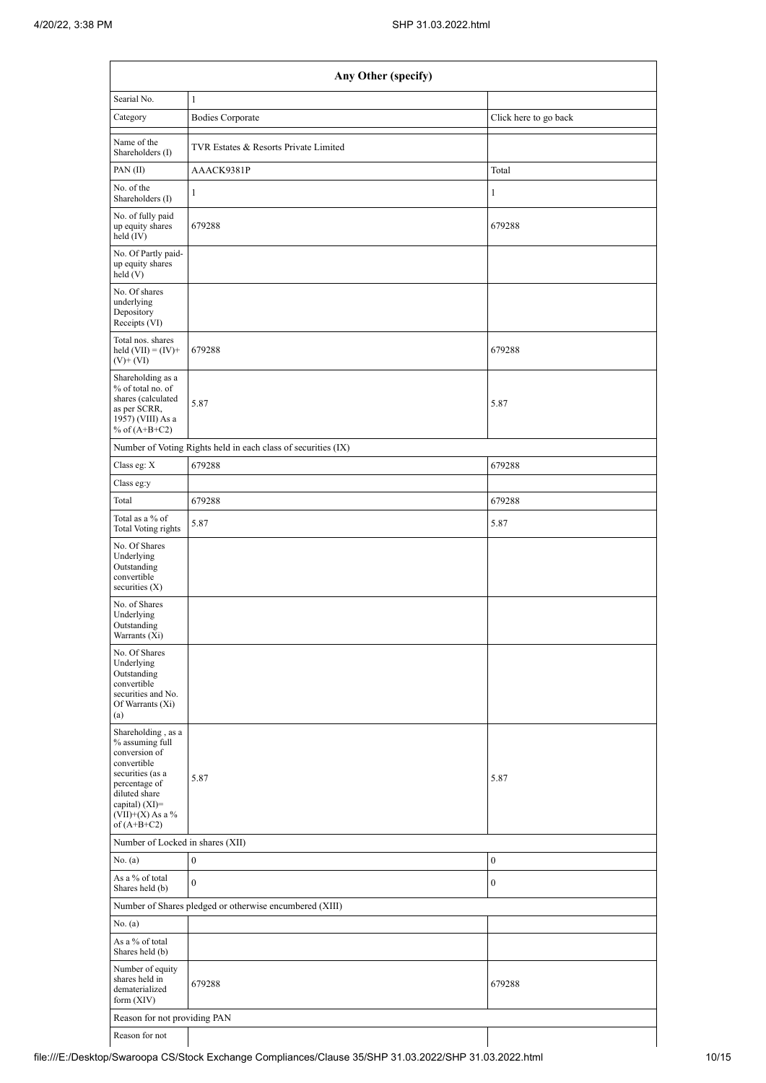|                                                                                                                                                                                      | Any Other (specify)                                           |                       |  |  |  |  |  |  |  |  |  |
|--------------------------------------------------------------------------------------------------------------------------------------------------------------------------------------|---------------------------------------------------------------|-----------------------|--|--|--|--|--|--|--|--|--|
| Searial No.                                                                                                                                                                          | $\mathbf{1}$                                                  |                       |  |  |  |  |  |  |  |  |  |
| Category                                                                                                                                                                             | <b>Bodies Corporate</b>                                       | Click here to go back |  |  |  |  |  |  |  |  |  |
| Name of the<br>Shareholders (I)                                                                                                                                                      | TVR Estates & Resorts Private Limited                         |                       |  |  |  |  |  |  |  |  |  |
| PAN(II)                                                                                                                                                                              | AAACK9381P                                                    | Total                 |  |  |  |  |  |  |  |  |  |
| No. of the<br>Shareholders (I)                                                                                                                                                       | $\mathbf{1}$                                                  | $\mathbf{1}$          |  |  |  |  |  |  |  |  |  |
| No. of fully paid<br>up equity shares<br>held (IV)                                                                                                                                   | 679288                                                        | 679288                |  |  |  |  |  |  |  |  |  |
| No. Of Partly paid-<br>up equity shares<br>held(V)                                                                                                                                   |                                                               |                       |  |  |  |  |  |  |  |  |  |
| No. Of shares<br>underlying<br>Depository<br>Receipts (VI)                                                                                                                           |                                                               |                       |  |  |  |  |  |  |  |  |  |
| Total nos. shares<br>held $(VII) = (IV) +$<br>$(V)$ + $(VI)$                                                                                                                         | 679288                                                        | 679288                |  |  |  |  |  |  |  |  |  |
| Shareholding as a<br>% of total no. of<br>shares (calculated<br>as per SCRR,<br>1957) (VIII) As a<br>% of $(A+B+C2)$                                                                 | 5.87                                                          | 5.87                  |  |  |  |  |  |  |  |  |  |
|                                                                                                                                                                                      | Number of Voting Rights held in each class of securities (IX) |                       |  |  |  |  |  |  |  |  |  |
| Class eg: X                                                                                                                                                                          | 679288                                                        | 679288                |  |  |  |  |  |  |  |  |  |
| Class eg:y                                                                                                                                                                           |                                                               |                       |  |  |  |  |  |  |  |  |  |
| Total                                                                                                                                                                                | 679288                                                        | 679288                |  |  |  |  |  |  |  |  |  |
| Total as a % of<br>Total Voting rights                                                                                                                                               | 5.87                                                          | 5.87                  |  |  |  |  |  |  |  |  |  |
| No. Of Shares<br>Underlying<br>Outstanding<br>convertible<br>securities $(X)$                                                                                                        |                                                               |                       |  |  |  |  |  |  |  |  |  |
| No. of Shares<br>Underlying<br>Outstanding<br>Warrants (Xi)                                                                                                                          |                                                               |                       |  |  |  |  |  |  |  |  |  |
| No. Of Shares<br>Underlying<br>Outstanding<br>convertible<br>securities and No.<br>Of Warrants (Xi)<br>(a)                                                                           |                                                               |                       |  |  |  |  |  |  |  |  |  |
| Shareholding, as a<br>% assuming full<br>conversion of<br>convertible<br>securities (as a<br>percentage of<br>diluted share<br>capital) (XI)=<br>$(VII)+(X)$ As a %<br>of $(A+B+C2)$ | 5.87                                                          | 5.87                  |  |  |  |  |  |  |  |  |  |
| Number of Locked in shares (XII)                                                                                                                                                     |                                                               |                       |  |  |  |  |  |  |  |  |  |
| No. (a)                                                                                                                                                                              | $\boldsymbol{0}$                                              | $\boldsymbol{0}$      |  |  |  |  |  |  |  |  |  |
| As a % of total<br>Shares held (b)                                                                                                                                                   | $\mathbf{0}$                                                  | $\boldsymbol{0}$      |  |  |  |  |  |  |  |  |  |
|                                                                                                                                                                                      | Number of Shares pledged or otherwise encumbered (XIII)       |                       |  |  |  |  |  |  |  |  |  |
| No. (a)                                                                                                                                                                              |                                                               |                       |  |  |  |  |  |  |  |  |  |
| As a % of total<br>Shares held (b)                                                                                                                                                   |                                                               |                       |  |  |  |  |  |  |  |  |  |
| Number of equity<br>shares held in<br>dematerialized<br>form $(XIV)$                                                                                                                 | 679288                                                        | 679288                |  |  |  |  |  |  |  |  |  |
| Reason for not providing PAN                                                                                                                                                         |                                                               |                       |  |  |  |  |  |  |  |  |  |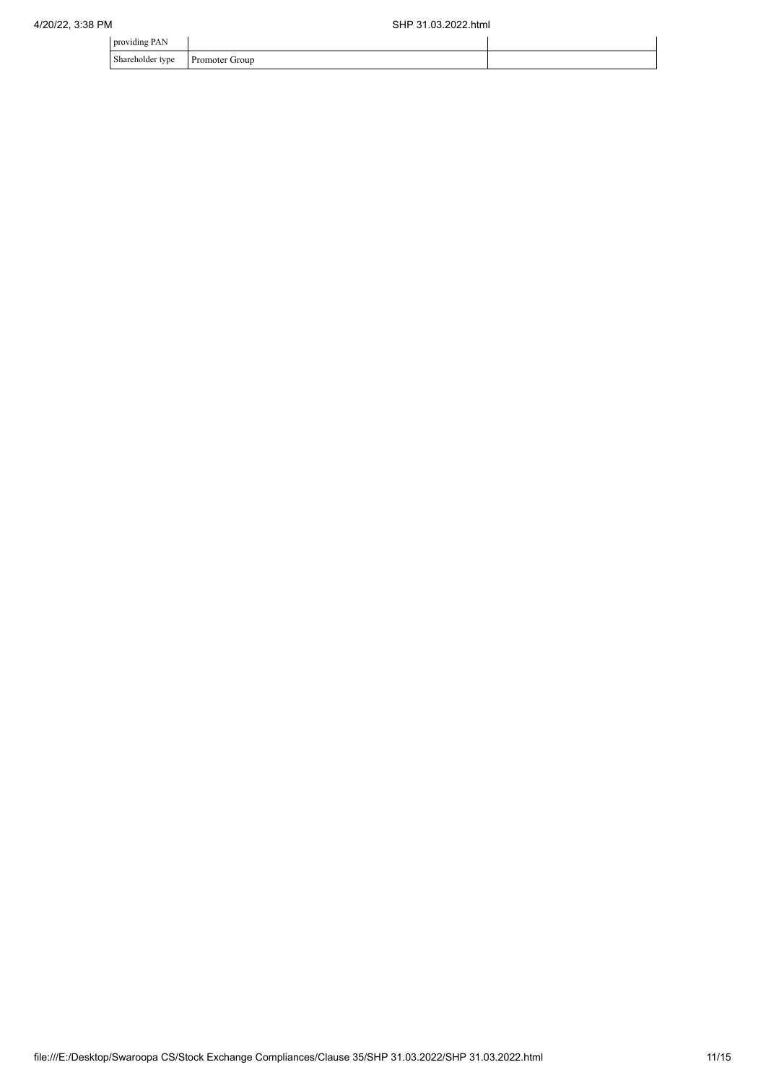| $\cdot$ $\cdot$<br>providing PAN |                          |  |
|----------------------------------|--------------------------|--|
| Shareholder type<br>$\sim$ 1     | Group<br><b>Promoter</b> |  |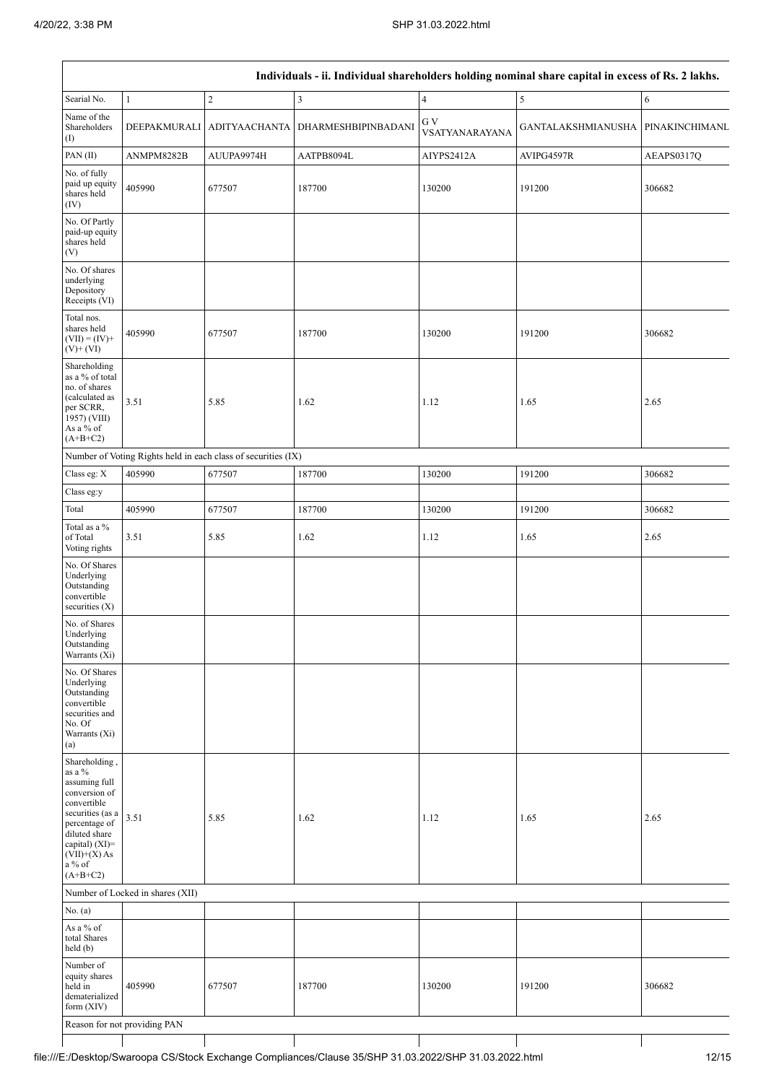|                                                                                                                                                                                               | Individuals - ii. Individual shareholders holding nominal share capital in excess of Rs. 2 lakhs. |                                                               |                                   |                       |                           |                |  |  |  |  |  |  |
|-----------------------------------------------------------------------------------------------------------------------------------------------------------------------------------------------|---------------------------------------------------------------------------------------------------|---------------------------------------------------------------|-----------------------------------|-----------------------|---------------------------|----------------|--|--|--|--|--|--|
| Searial No.                                                                                                                                                                                   | $\mathbf{1}$                                                                                      | $\sqrt{2}$                                                    | $\mathfrak{Z}$                    | $\overline{4}$        | $\sqrt{5}$                | 6              |  |  |  |  |  |  |
| Name of the<br>Shareholders<br>(1)                                                                                                                                                            | <b>DEEPAKMURALI</b>                                                                               |                                                               | ADITYAACHANTA DHARMESHBIPINBADANI | G V<br>VSATYANARAYANA | <b>GANTALAKSHMIANUSHA</b> | PINAKINCHIMANL |  |  |  |  |  |  |
| PAN(II)                                                                                                                                                                                       | ANMPM8282B                                                                                        | AUUPA9974H                                                    | AATPB8094L                        | AIYPS2412A            | AVIPG4597R                | AEAPS0317Q     |  |  |  |  |  |  |
| No. of fully<br>paid up equity<br>shares held<br>(IV)                                                                                                                                         | 405990                                                                                            | 677507                                                        | 187700                            | 130200                | 191200                    | 306682         |  |  |  |  |  |  |
| No. Of Partly<br>paid-up equity<br>shares held<br>(V)                                                                                                                                         |                                                                                                   |                                                               |                                   |                       |                           |                |  |  |  |  |  |  |
| No. Of shares<br>underlying<br>Depository<br>Receipts (VI)                                                                                                                                    |                                                                                                   |                                                               |                                   |                       |                           |                |  |  |  |  |  |  |
| Total nos.<br>shares held<br>$(VII) = (IV) +$<br>$(V)$ + $(VI)$                                                                                                                               | 405990                                                                                            | 677507                                                        | 187700                            | 130200                | 191200                    | 306682         |  |  |  |  |  |  |
| Shareholding<br>as a % of total<br>no. of shares<br>(calculated as<br>per SCRR,<br>1957) (VIII)<br>As a % of<br>$(A+B+C2)$                                                                    | 3.51                                                                                              | 5.85                                                          | 1.62                              | 1.12                  | 1.65                      | 2.65           |  |  |  |  |  |  |
|                                                                                                                                                                                               |                                                                                                   | Number of Voting Rights held in each class of securities (IX) |                                   |                       |                           |                |  |  |  |  |  |  |
| Class eg: X                                                                                                                                                                                   | 405990                                                                                            | 677507                                                        | 187700                            | 130200                | 191200                    | 306682         |  |  |  |  |  |  |
| Class eg:y                                                                                                                                                                                    |                                                                                                   |                                                               |                                   |                       |                           |                |  |  |  |  |  |  |
| Total                                                                                                                                                                                         | 405990                                                                                            | 677507                                                        | 187700                            | 130200                | 191200                    | 306682         |  |  |  |  |  |  |
| Total as a $\%$<br>of Total<br>Voting rights                                                                                                                                                  | 3.51                                                                                              | 5.85                                                          | 1.62                              | 1.12                  | 1.65                      | 2.65           |  |  |  |  |  |  |
| No. Of Shares<br>Underlying<br>Outstanding<br>convertible<br>securities (X)                                                                                                                   |                                                                                                   |                                                               |                                   |                       |                           |                |  |  |  |  |  |  |
| No. of Shares<br>Underlying<br>Outstanding<br>Warrants $(X_i)$                                                                                                                                |                                                                                                   |                                                               |                                   |                       |                           |                |  |  |  |  |  |  |
| No. Of Shares<br>Underlying<br>Outstanding<br>convertible<br>securities and<br>No. Of<br>Warrants (Xi)<br>(a)                                                                                 |                                                                                                   |                                                               |                                   |                       |                           |                |  |  |  |  |  |  |
| Shareholding,<br>as a $\%$<br>assuming full<br>conversion of<br>convertible<br>securities (as a<br>percentage of<br>diluted share<br>capital) (XI)=<br>$(VII)+(X)$ As<br>a % of<br>$(A+B+C2)$ | 3.51                                                                                              | 5.85                                                          | 1.62                              | 1.12                  | 1.65                      | 2.65           |  |  |  |  |  |  |
|                                                                                                                                                                                               | Number of Locked in shares (XII)                                                                  |                                                               |                                   |                       |                           |                |  |  |  |  |  |  |
| No. $(a)$                                                                                                                                                                                     |                                                                                                   |                                                               |                                   |                       |                           |                |  |  |  |  |  |  |
| As a $\%$ of<br>total Shares<br>held (b)                                                                                                                                                      |                                                                                                   |                                                               |                                   |                       |                           |                |  |  |  |  |  |  |
| Number of<br>equity shares<br>held in<br>dematerialized<br>form $(XIV)$                                                                                                                       | 405990                                                                                            | 677507                                                        | 187700                            | 130200                | 191200                    | 306682         |  |  |  |  |  |  |
|                                                                                                                                                                                               | Reason for not providing PAN                                                                      |                                                               |                                   |                       |                           |                |  |  |  |  |  |  |

 $\mathbf{I}$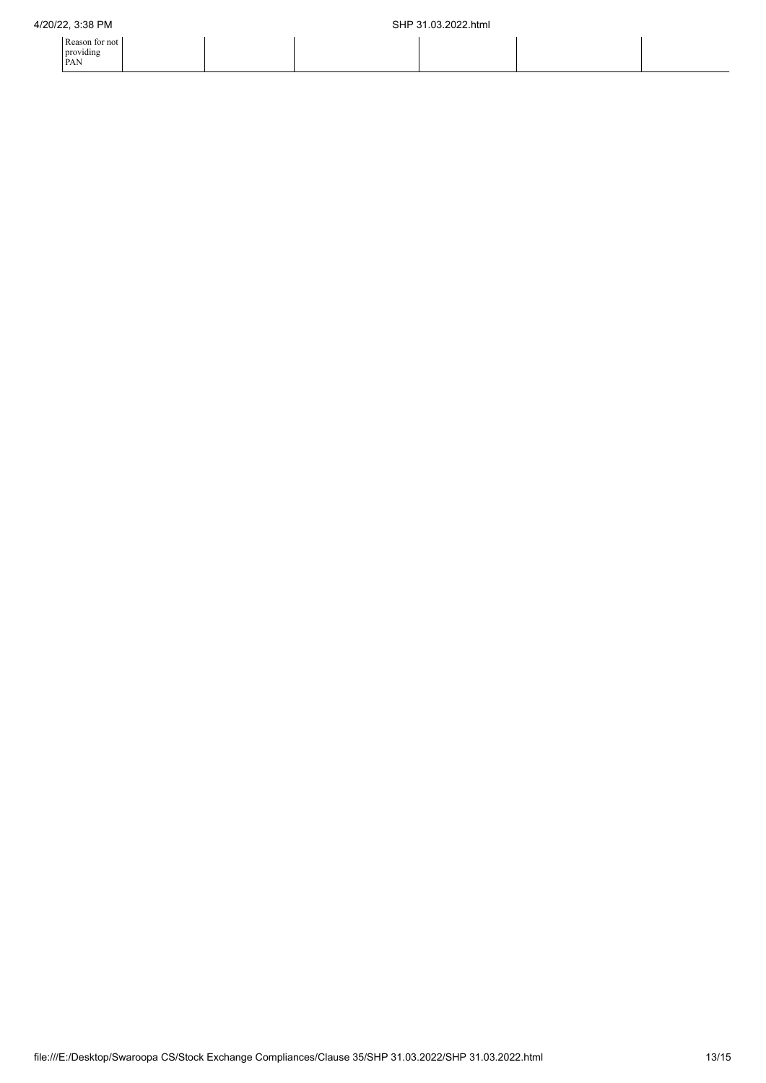| Reason for not |  |
|----------------|--|
| providing      |  |
| <b>PAN</b>     |  |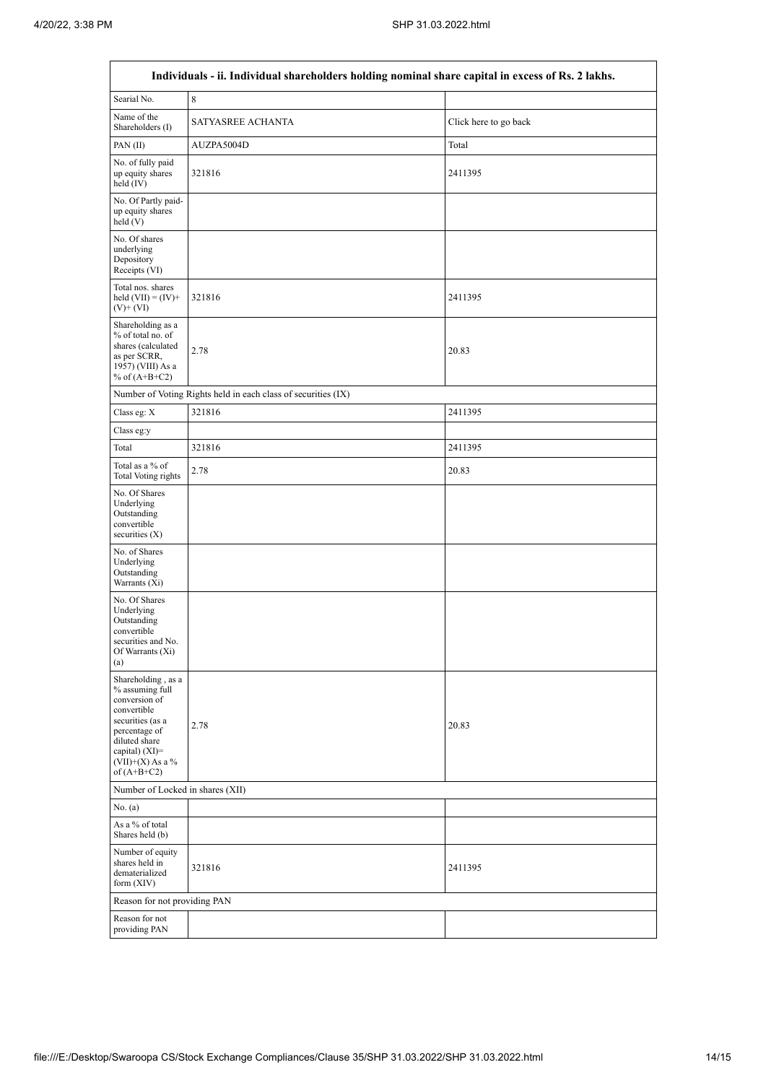$\overline{a}$ 

 $\overline{\mathsf{I}}$ 

| Individuals - ii. Individual shareholders holding nominal share capital in excess of Rs. 2 lakhs.                                                                                       |                                                               |                       |  |  |  |  |  |  |
|-----------------------------------------------------------------------------------------------------------------------------------------------------------------------------------------|---------------------------------------------------------------|-----------------------|--|--|--|--|--|--|
| Searial No.                                                                                                                                                                             | $\,$ 8 $\,$                                                   |                       |  |  |  |  |  |  |
| Name of the<br>Shareholders (I)                                                                                                                                                         | SATYASREE ACHANTA                                             | Click here to go back |  |  |  |  |  |  |
| PAN(II)                                                                                                                                                                                 | AUZPA5004D                                                    | Total                 |  |  |  |  |  |  |
| No. of fully paid<br>up equity shares<br>held $(IV)$                                                                                                                                    | 321816                                                        | 2411395               |  |  |  |  |  |  |
| No. Of Partly paid-<br>up equity shares<br>held(V)                                                                                                                                      |                                                               |                       |  |  |  |  |  |  |
| No. Of shares<br>underlying<br>Depository<br>Receipts (VI)                                                                                                                              |                                                               |                       |  |  |  |  |  |  |
| Total nos. shares<br>held $(VII) = (IV) +$<br>$(V)$ + $(VI)$                                                                                                                            | 321816                                                        | 2411395               |  |  |  |  |  |  |
| Shareholding as a<br>% of total no. of<br>shares (calculated<br>as per SCRR,<br>1957) (VIII) As a<br>% of $(A+B+C2)$                                                                    | 2.78                                                          | 20.83                 |  |  |  |  |  |  |
|                                                                                                                                                                                         | Number of Voting Rights held in each class of securities (IX) |                       |  |  |  |  |  |  |
| Class eg: X                                                                                                                                                                             | 321816                                                        | 2411395               |  |  |  |  |  |  |
| Class eg:y                                                                                                                                                                              |                                                               |                       |  |  |  |  |  |  |
| Total                                                                                                                                                                                   | 321816                                                        | 2411395               |  |  |  |  |  |  |
| Total as a % of<br><b>Total Voting rights</b>                                                                                                                                           | 2.78                                                          | 20.83                 |  |  |  |  |  |  |
| No. Of Shares<br>Underlying<br>Outstanding<br>convertible<br>securities $(X)$                                                                                                           |                                                               |                       |  |  |  |  |  |  |
| No. of Shares<br>Underlying<br>Outstanding<br>Warrants (Xi)                                                                                                                             |                                                               |                       |  |  |  |  |  |  |
| No. Of Shares<br>Underlying<br>Outstanding<br>convertible<br>securities and No.<br>Of Warrants (Xi)<br>(a)                                                                              |                                                               |                       |  |  |  |  |  |  |
| Shareholding, as a<br>% assuming full<br>conversion of<br>convertible<br>securities (as a<br>percentage of<br>diluted share<br>capital) $(XI)$ =<br>$(VII)+(X)$ As a %<br>of $(A+B+C2)$ | 2.78                                                          | 20.83                 |  |  |  |  |  |  |
| Number of Locked in shares (XII)                                                                                                                                                        |                                                               |                       |  |  |  |  |  |  |
| No. (a)                                                                                                                                                                                 |                                                               |                       |  |  |  |  |  |  |
| As a % of total<br>Shares held (b)                                                                                                                                                      |                                                               |                       |  |  |  |  |  |  |
| Number of equity<br>shares held in<br>dematerialized<br>form $(XIV)$                                                                                                                    | 321816                                                        | 2411395               |  |  |  |  |  |  |
| Reason for not providing PAN                                                                                                                                                            |                                                               |                       |  |  |  |  |  |  |
| Reason for not<br>providing PAN                                                                                                                                                         |                                                               |                       |  |  |  |  |  |  |